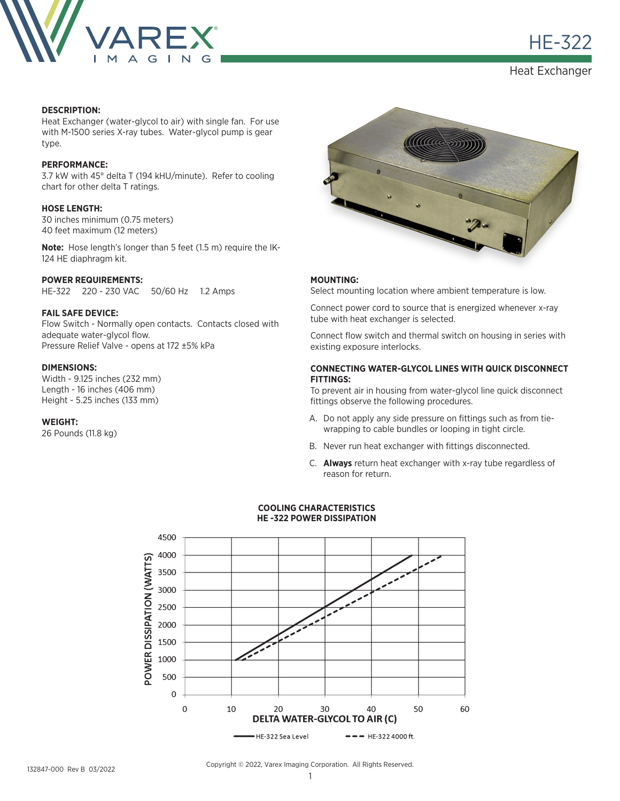

HE-322

Heat Exchanger

# **DESCRIPTION:**

Heat Exchanger (water-glycol to air) with single fan. For use with M-1500 series X-ray tubes. Water-glycol pump is gear type.

## **PERFORMANCE:**

3.7 kW with 45° delta T (194 kHU/minute). Refer to cooling chart for other delta T ratings.

## **HOSE LENGTH:**

30 inches minimum (0.75 meters) 40 feet maximum (12 meters)

**Note:** Hose length's longer than 5 feet (1.5 m) require the IK-124 HE diaphragm kit.

## **POWER REQUIREMENTS:**

HE-322 220 - 230 VAC 50/60 Hz 1.2 Amps

# **FAIL SAFE DEVICE:**

Flow Switch - Normally open contacts. Contacts closed with adequate water-glycol flow. Pressure Relief Valve - opens at 172 ±5% kPa

# **DIMENSIONS:**

Width - 9.125 inches (232 mm) Length - 16 inches (406 mm) Height - 5.25 inches (133 mm)

#### **WEIGHT:**

26 Pounds (11.8 kg)



## **MOUNTING:**

Select mounting location where ambient temperature is low.

Connect power cord to source that is energized whenever x-ray tube with heat exchanger is selected.

Connect flow switch and thermal switch on housing in series with existing exposure interlocks.

## **CONNECTING WATER-GLYCOL LINES WITH QUICK DISCONNECT FITTINGS:**

To prevent air in housing from water-glycol line quick disconnect fittings observe the following procedures.

- A. Do not apply any side pressure on fittings such as from tiewrapping to cable bundles or looping in tight circle.
- B. Never run heat exchanger with fittings disconnected.
- C. **Always** return heat exchanger with x-ray tube regardless of reason for return.



#### **COOLING CHARACTERISTICS HE -322 POWER DISSIPATION**

Copyright © 2022, Varex Imaging Corporation. All Rights Reserved.